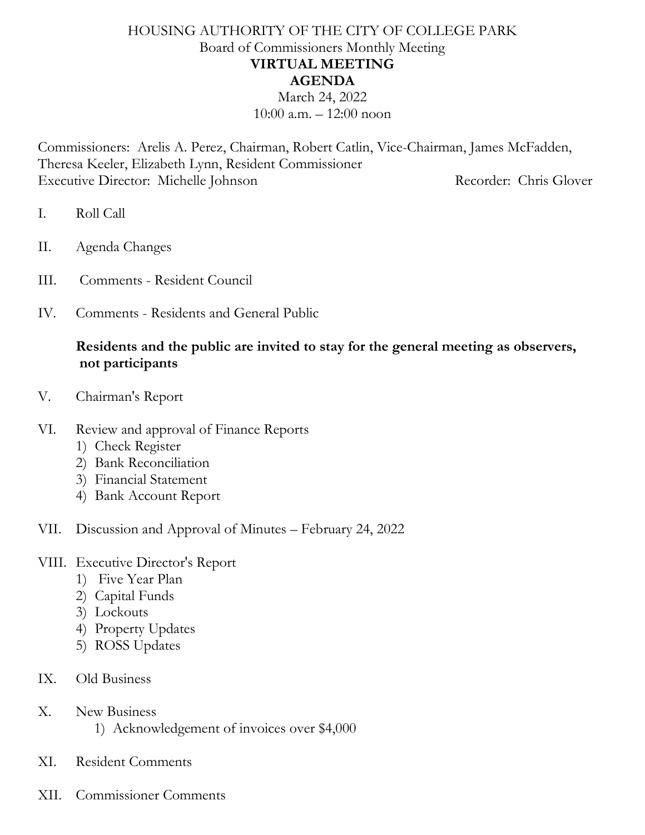## HOUSING AUTHORITY OF THE CITY OF COLLEGE PARK Board of Commissioners Monthly Meeting **VIRTUAL MEETING AGENDA** March 24, 2022

 $10:00$  a.m.  $-12:00$  noon

Commissioners: Arelis A. Perez, Chairman, Robert Catlin, Vice-Chairman, James McFadden, Theresa Keeler, Elizabeth Lynn, Resident Commissioner Executive Director: Michelle Johnson Recorder: Chris Glover

- I. Roll Call
- II. Agenda Changes
- III. Comments Resident Council
- IV. Comments Residents and General Public

## **Residents and the public are invited to stay for the general meeting as observers, not participants**

- V. Chairman's Report
- VI. Review and approval of Finance Reports
	- 1) Check Register
	- 2) Bank Reconciliation
	- 3) Financial Statement
	- 4) Bank Account Report

### VII. Discussion and Approval of Minutes – February 24, 2022

#### VIII. Executive Director's Report

- 1) Five Year Plan
- 2) Capital Funds
- 3) Lockouts
- 4) Property Updates
- 5) ROSS Updates
- IX. Old Business
- X. New Business
	- 1) Acknowledgement of invoices over \$4,000
- XI. Resident Comments
- XII. Commissioner Comments